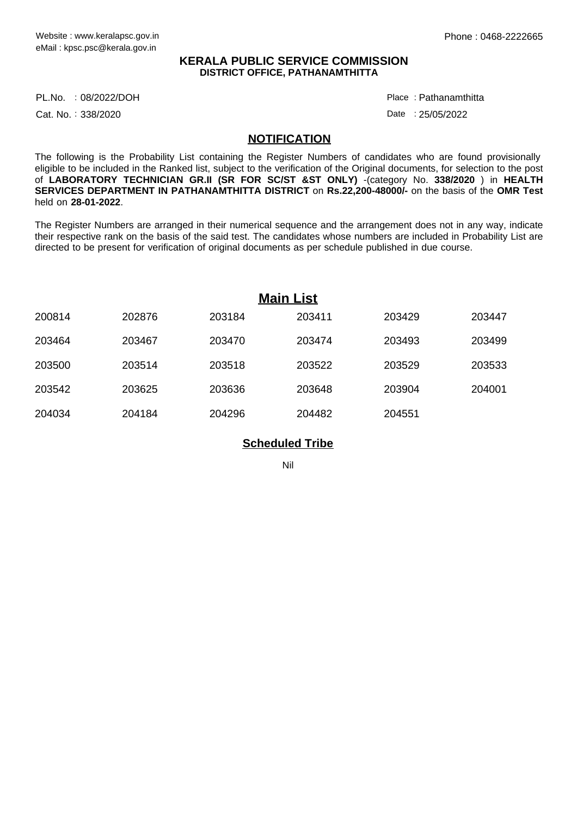## **KERALA PUBLIC SERVICE COMMISSION DISTRICT OFFICE, PATHANAMTHITTA**

PL.No. :08/2022/DOH Place

Cat. No.: 338/2020

Pathanamthitta :

Date : 25/05/2022

## **NOTIFICATION**

The following is the Probability List containing the Register Numbers of candidates who are found provisionally eligible to be included in the Ranked list, subject to the verification of the Original documents, for selection to the post of **LABORATORY TECHNICIAN GR.II (SR FOR SC/ST &ST ONLY)** -(category No. **338/2020** ) in **HEALTH SERVICES DEPARTMENT IN PATHANAMTHITTA DISTRICT** on **Rs.22,200-48000/-** on the basis of the **OMR Test** held on **28-01-2022**.

The Register Numbers are arranged in their numerical sequence and the arrangement does not in any way, indicate their respective rank on the basis of the said test. The candidates whose numbers are included in Probability List are directed to be present for verification of original documents as per schedule published in due course.

| <b>Main List</b> |        |        |        |        |        |
|------------------|--------|--------|--------|--------|--------|
| 200814           | 202876 | 203184 | 203411 | 203429 | 203447 |
| 203464           | 203467 | 203470 | 203474 | 203493 | 203499 |
| 203500           | 203514 | 203518 | 203522 | 203529 | 203533 |
| 203542           | 203625 | 203636 | 203648 | 203904 | 204001 |
| 204034           | 204184 | 204296 | 204482 | 204551 |        |

## **Scheduled Tribe**

Nil